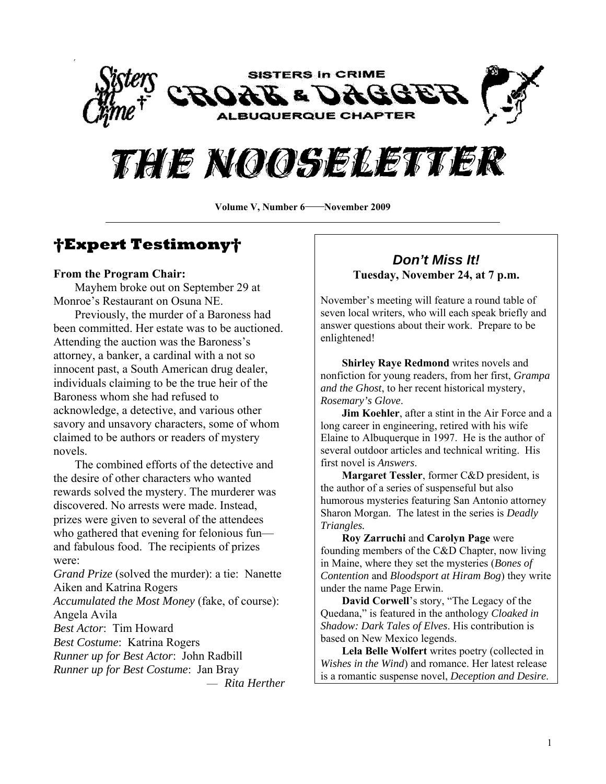

# THE NOOSELETTER

Volume V, Number 6**—** November 2009

# **†Expert Testimony†**

#### **From the Program Chair:**

Mayhem broke out on September 29 at Monroe's Restaurant on Osuna NE.

 Previously, the murder of a Baroness had been committed. Her estate was to be auctioned. Attending the auction was the Baroness's attorney, a banker, a cardinal with a not so innocent past, a South American drug dealer, individuals claiming to be the true heir of the Baroness whom she had refused to acknowledge, a detective, and various other savory and unsavory characters, some of whom claimed to be authors or readers of mystery novels.

 The combined efforts of the detective and the desire of other characters who wanted rewards solved the mystery. The murderer was discovered. No arrests were made. Instead, prizes were given to several of the attendees who gathered that evening for felonious fun and fabulous food. The recipients of prizes were:

*Grand Prize* (solved the murder): a tie: Nanette Aiken and Katrina Rogers

*Accumulated the Most Money* (fake, of course): Angela Avila

*Best Actor*: Tim Howard

*Best Costume*: Katrina Rogers

*Runner up for Best Actor*: John Radbill *Runner up for Best Costume*: Jan Bray

— *Rita Herther* 

#### *Don't Miss It!*  **Tuesday, November 24, at 7 p.m.**

November's meeting will feature a round table of seven local writers, who will each speak briefly and answer questions about their work. Prepare to be enlightened!

 **Shirley Raye Redmond** writes novels and nonfiction for young readers, from her first, *Grampa and the Ghost*, to her recent historical mystery, *Rosemary's Glove*.

 **Jim Koehler**, after a stint in the Air Force and a long career in engineering, retired with his wife Elaine to Albuquerque in 1997. He is the author of several outdoor articles and technical writing. His first novel is *Answers*.

 **Margaret Tessler**, former C&D president, is the author of a series of suspenseful but also humorous mysteries featuring San Antonio attorney Sharon Morgan. The latest in the series is *Deadly Triangles.*

 **Roy Zarruchi** and **Carolyn Page** were founding members of the C&D Chapter, now living in Maine, where they set the mysteries (*Bones of Contention* and *Bloodsport at Hiram Bog*) they write under the name Page Erwin.

 **David Corwell**'s story, "The Legacy of the Quedana," is featured in the anthology *Cloaked in Shadow: Dark Tales of Elves*. His contribution is based on New Mexico legends.

 **Lela Belle Wolfert** writes poetry (collected in *Wishes in the Wind*) and romance. Her latest release is a romantic suspense novel, *Deception and Desire*.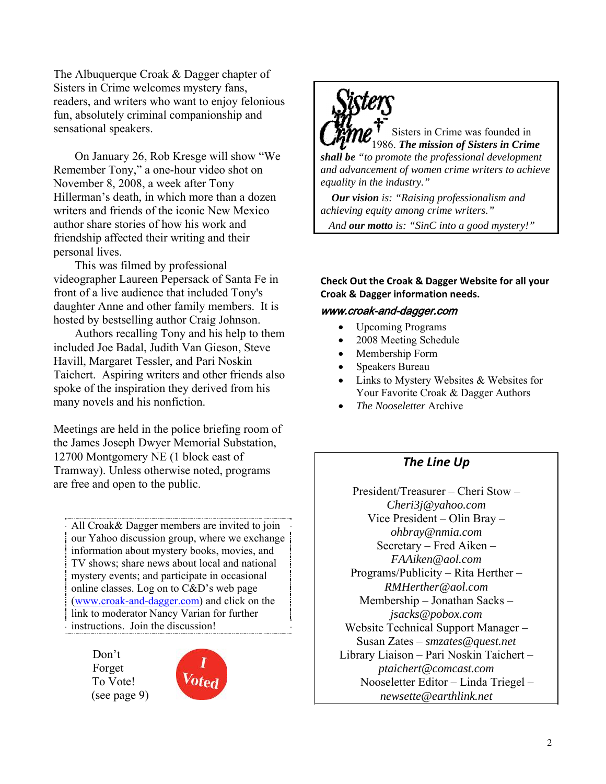The Albuquerque Croak & Dagger chapter of Sisters in Crime welcomes mystery fans, readers, and writers who want to enjoy felonious fun, absolutely criminal companionship and sensational speakers.

On January 26, Rob Kresge will show "We Remember Tony," a one-hour video shot on November 8, 2008, a week after Tony Hillerman's death, in which more than a dozen writers and friends of the iconic New Mexico author share stories of how his work and friendship affected their writing and their personal lives.

 This was filmed by professional videographer Laureen Pepersack of Santa Fe in front of a live audience that included Tony's daughter Anne and other family members. It is hosted by bestselling author Craig Johnson.

 Authors recalling Tony and his help to them included Joe Badal, Judith Van Gieson, Steve Havill, Margaret Tessler, and Pari Noskin Taichert. Aspiring writers and other friends also spoke of the inspiration they derived from his many novels and his nonfiction.

Meetings are held in the police briefing room of the James Joseph Dwyer Memorial Substation, 12700 Montgomery NE (1 block east of Tramway). Unless otherwise noted, programs are free and open to the public.

All Croak& Dagger members are invited to join our Yahoo discussion group, where we exchange information about mystery books, movies, and TV shows; share news about local and national mystery events; and participate in occasional online classes. Log on to C&D's web page ([www.croak-and-dagger.com\)](http://www.croak-and-dagger.com/) and click on the link to moderator Nancy Varian for further instructions. Join the discussion!

Don't Forget To Vote! (see page 9)





Sisters in Crime was founded in 1986. *The mission of Sisters in Crime shall be "to promote the professional development and advancement of women crime writers to achieve equality in the industry."* 

 *Our vision is: "Raising professionalism and achieving equity among crime writers."* 

 *And our motto is: "SinC into a good mystery!"*

#### **Check Out the Croak & Dagger Website for all your Croak & Dagger information needs.**

#### www.croak-and-dagger.com

- Upcoming Programs
- 2008 Meeting Schedule
- Membership Form
- Speakers Bureau
- Links to Mystery Websites & Websites for Your Favorite Croak & Dagger Authors
- *The Nooseletter* Archive

#### *The Line Up*

President/Treasurer – Cheri Stow – *[Cheri3j@yahoo.com](mailto:rkresge777@comcast.net)* Vice President – Olin Bray – *[ohbray@nmia.com](mailto:ohbray@nmia.com)* Secretary – Fred Aiken – *[FAAiken@aol.com](mailto:rkresge777@comcast.net)*  Programs/Publicity – Rita Herther – *RMHerther@aol.com* Membership – Jonathan Sacks – *jsacks@pobox.com* Website Technical Support Manager – Susan Zates – *smzates@quest.net* Library Liaison – Pari Noskin Taichert – *[ptaichert@comcast.com](mailto:ptaichert@comcast.com)* Nooseletter Editor – Linda Triegel – *newsette@earthlink.net*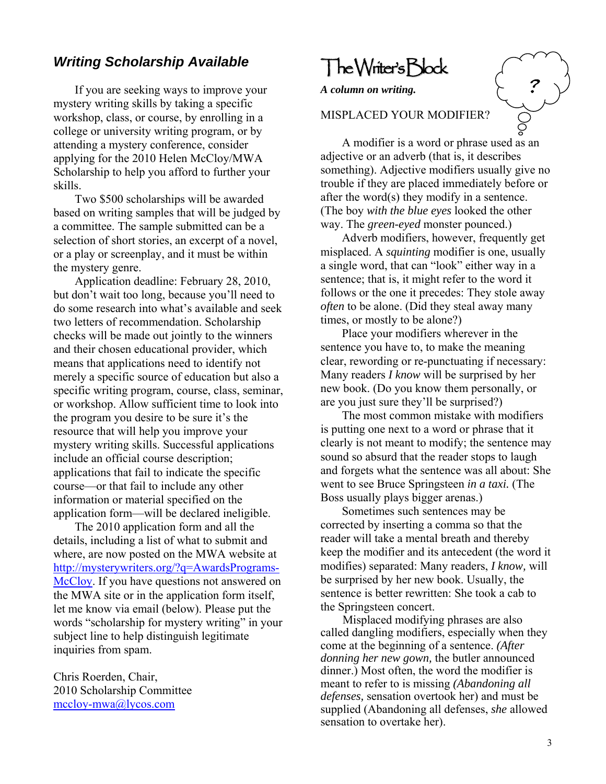### *Writing Scholarship Available*

 If you are seeking ways to improve your mystery writing skills by taking a specific workshop, class, or course, by enrolling in a college or university writing program, or by attending a mystery conference, consider applying for the 2010 Helen McCloy/MWA Scholarship to help you afford to further your skills.

 Two \$500 scholarships will be awarded based on writing samples that will be judged by a committee. The sample submitted can be a selection of short stories, an excerpt of a novel, or a play or screenplay, and it must be within the mystery genre.

 Application deadline: February 28, 2010, but don't wait too long, because you'll need to do some research into what's available and seek two letters of recommendation. Scholarship checks will be made out jointly to the winners and their chosen educational provider, which means that applications need to identify not merely a specific source of education but also a specific writing program, course, class, seminar, or workshop. Allow sufficient time to look into the program you desire to be sure it's the resource that will help you improve your mystery writing skills. Successful applications include an official course description; applications that fail to indicate the specific course—or that fail to include any other information or material specified on the application form—will be declared ineligible.

 The 2010 application form and all the details, including a list of what to submit and where, are now posted on the MWA website at [http://mysterywriters.org/?q=AwardsPrograms-](http://mysterywriters.org/?q=AwardsPrograms=McCloy)[McCloy](http://mysterywriters.org/?q=AwardsPrograms=McCloy). If you have questions not answered on the MWA site or in the application form itself, let me know via email (below). Please put the words "scholarship for mystery writing" in your subject line to help distinguish legitimate inquiries from spam.

Chris Roerden, Chair, 2010 Scholarship Committee [mccloy-mwa@lycos.com](mailto:mccloy-mwa@lycos.com)

TheWriter'sBlock

*A column on writing.* 

#### MISPLACED YOUR MODIFIER?

 A modifier is a word or phrase used as an adjective or an adverb (that is, it describes something). Adjective modifiers usually give no trouble if they are placed immediately before or after the word(s) they modify in a sentence. (The boy *with the blue eyes* looked the other way. The *green-eyed* monster pounced.)

Adverb modifiers, however, frequently get misplaced. A *squinting* modifier is one, usually a single word, that can "look" either way in a sentence; that is, it might refer to the word it follows or the one it precedes: They stole away *often* to be alone. (Did they steal away many times, or mostly to be alone?)

 Place your modifiers wherever in the sentence you have to, to make the meaning clear, rewording or re-punctuating if necessary: Many readers *I know* will be surprised by her new book. (Do you know them personally, or are you just sure they'll be surprised?)

 The most common mistake with modifiers is putting one next to a word or phrase that it clearly is not meant to modify; the sentence may sound so absurd that the reader stops to laugh and forgets what the sentence was all about: She went to see Bruce Springsteen *in a taxi.* (The Boss usually plays bigger arenas.)

 Sometimes such sentences may be corrected by inserting a comma so that the reader will take a mental breath and thereby keep the modifier and its antecedent (the word it modifies) separated: Many readers, *I know,* will be surprised by her new book. Usually, the sentence is better rewritten: She took a cab to the Springsteen concert.

 Misplaced modifying phrases are also called dangling modifiers, especially when they come at the beginning of a sentence. *(After donning her new gown,* the butler announced dinner.) Most often, the word the modifier is meant to refer to is missing *(Abandoning all defenses,* sensation overtook her) and must be supplied (Abandoning all defenses, *she* allowed sensation to overtake her).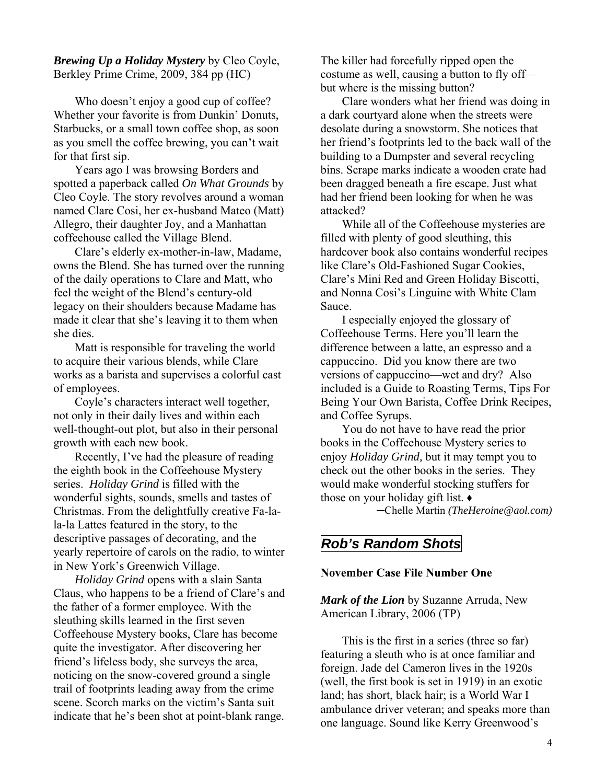#### *Brewing Up a Holiday Mystery* by Cleo Coyle, Berkley Prime Crime, 2009, 384 pp (HC)

Who doesn't enjoy a good cup of coffee? Whether your favorite is from Dunkin' Donuts, Starbucks, or a small town coffee shop, as soon as you smell the coffee brewing, you can't wait for that first sip.

 Years ago I was browsing Borders and spotted a paperback called *On What Grounds* by Cleo Coyle. The story revolves around a woman named Clare Cosi, her ex-husband Mateo (Matt) Allegro, their daughter Joy, and a Manhattan coffeehouse called the Village Blend.

 Clare's elderly ex-mother-in-law, Madame, owns the Blend. She has turned over the running of the daily operations to Clare and Matt, who feel the weight of the Blend's century-old legacy on their shoulders because Madame has made it clear that she's leaving it to them when she dies.

 Matt is responsible for traveling the world to acquire their various blends, while Clare works as a barista and supervises a colorful cast of employees.

 Coyle's characters interact well together, not only in their daily lives and within each well-thought-out plot, but also in their personal growth with each new book.

 Recently, I've had the pleasure of reading the eighth book in the Coffeehouse Mystery series. *Holiday Grind* is filled with the wonderful sights, sounds, smells and tastes of Christmas. From the delightfully creative Fa-lala-la Lattes featured in the story, to the descriptive passages of decorating, and the yearly repertoire of carols on the radio, to winter in New York's Greenwich Village.

*Holiday Grind* opens with a slain Santa Claus, who happens to be a friend of Clare's and the father of a former employee. With the sleuthing skills learned in the first seven Coffeehouse Mystery books, Clare has become quite the investigator. After discovering her friend's lifeless body, she surveys the area, noticing on the snow-covered ground a single trail of footprints leading away from the crime scene. Scorch marks on the victim's Santa suit indicate that he's been shot at point-blank range.

The killer had forcefully ripped open the costume as well, causing a button to fly off but where is the missing button?

 Clare wonders what her friend was doing in a dark courtyard alone when the streets were desolate during a snowstorm. She notices that her friend's footprints led to the back wall of the building to a Dumpster and several recycling bins. Scrape marks indicate a wooden crate had been dragged beneath a fire escape. Just what had her friend been looking for when he was attacked?

 While all of the Coffeehouse mysteries are filled with plenty of good sleuthing, this hardcover book also contains wonderful recipes like Clare's Old-Fashioned Sugar Cookies, Clare's Mini Red and Green Holiday Biscotti, and Nonna Cosi's Linguine with White Clam Sauce.

 I especially enjoyed the glossary of Coffeehouse Terms. Here you'll learn the difference between a latte, an espresso and a cappuccino. Did you know there are two versions of cappuccino—wet and dry? Also included is a Guide to Roasting Terms, Tips For Being Your Own Barista, Coffee Drink Recipes, and Coffee Syrups.

 You do not have to have read the prior books in the Coffeehouse Mystery series to enjoy *Holiday Grind,* but it may tempt you to check out the other books in the series. They would make wonderful stocking stuffers for those on your holiday gift list. ♦

─Chelle Martin *(TheHeroine@aol.com)*

### *Rob's Random Shots*

#### **November Case File Number One**

*Mark of the Lion* by Suzanne Arruda, New American Library, 2006 (TP)

 This is the first in a series (three so far) featuring a sleuth who is at once familiar and foreign. Jade del Cameron lives in the 1920s (well, the first book is set in 1919) in an exotic land; has short, black hair; is a World War I ambulance driver veteran; and speaks more than one language. Sound like Kerry Greenwood's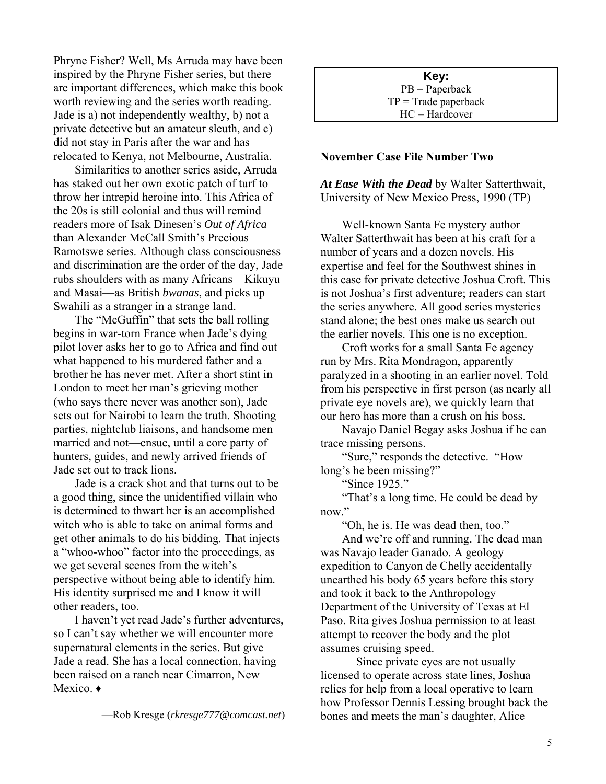Phryne Fisher? Well, Ms Arruda may have been inspired by the Phryne Fisher series, but there are important differences, which make this book worth reviewing and the series worth reading. Jade is a) not independently wealthy, b) not a private detective but an amateur sleuth, and c) did not stay in Paris after the war and has relocated to Kenya, not Melbourne, Australia.

 Similarities to another series aside, Arruda has staked out her own exotic patch of turf to throw her intrepid heroine into. This Africa of the 20s is still colonial and thus will remind readers more of Isak Dinesen's *Out of Africa* than Alexander McCall Smith's Precious Ramotswe series. Although class consciousness and discrimination are the order of the day, Jade rubs shoulders with as many Africans—Kikuyu and Masai—as British *bwanas*, and picks up Swahili as a stranger in a strange land.

 The "McGuffin" that sets the ball rolling begins in war-torn France when Jade's dying pilot lover asks her to go to Africa and find out what happened to his murdered father and a brother he has never met. After a short stint in London to meet her man's grieving mother (who says there never was another son), Jade sets out for Nairobi to learn the truth. Shooting parties, nightclub liaisons, and handsome men married and not—ensue, until a core party of hunters, guides, and newly arrived friends of Jade set out to track lions.

 Jade is a crack shot and that turns out to be a good thing, since the unidentified villain who is determined to thwart her is an accomplished witch who is able to take on animal forms and get other animals to do his bidding. That injects a "whoo-whoo" factor into the proceedings, as we get several scenes from the witch's perspective without being able to identify him. His identity surprised me and I know it will other readers, too.

 I haven't yet read Jade's further adventures, so I can't say whether we will encounter more supernatural elements in the series. But give Jade a read. She has a local connection, having been raised on a ranch near Cimarron, New Mexico. ♦

—Rob Kresge (*[rkresge777@comcast.net](mailto:rkresge777@comcast.net)*)

**Key:**  PB = Paperback  $TP = Trade$  paperback HC = Hardcover

#### **November Case File Number Two**

*At Ease With the Dead* by Walter Satterthwait, University of New Mexico Press, 1990 (TP)

 Well-known Santa Fe mystery author Walter Satterthwait has been at his craft for a number of years and a dozen novels. His expertise and feel for the Southwest shines in this case for private detective Joshua Croft. This is not Joshua's first adventure; readers can start the series anywhere. All good series mysteries stand alone; the best ones make us search out the earlier novels. This one is no exception.

 Croft works for a small Santa Fe agency run by Mrs. Rita Mondragon, apparently paralyzed in a shooting in an earlier novel. Told from his perspective in first person (as nearly all private eye novels are), we quickly learn that our hero has more than a crush on his boss.

 Navajo Daniel Begay asks Joshua if he can trace missing persons.

 "Sure," responds the detective. "How long's he been missing?"

"Since 1925."

 "That's a long time. He could be dead by now."

"Oh, he is. He was dead then, too."

 And we're off and running. The dead man was Navajo leader Ganado. A geology expedition to Canyon de Chelly accidentally unearthed his body 65 years before this story and took it back to the Anthropology Department of the University of Texas at El Paso. Rita gives Joshua permission to at least attempt to recover the body and the plot assumes cruising speed.

Since private eyes are not usually licensed to operate across state lines, Joshua relies for help from a local operative to learn how Professor Dennis Lessing brought back the bones and meets the man's daughter, Alice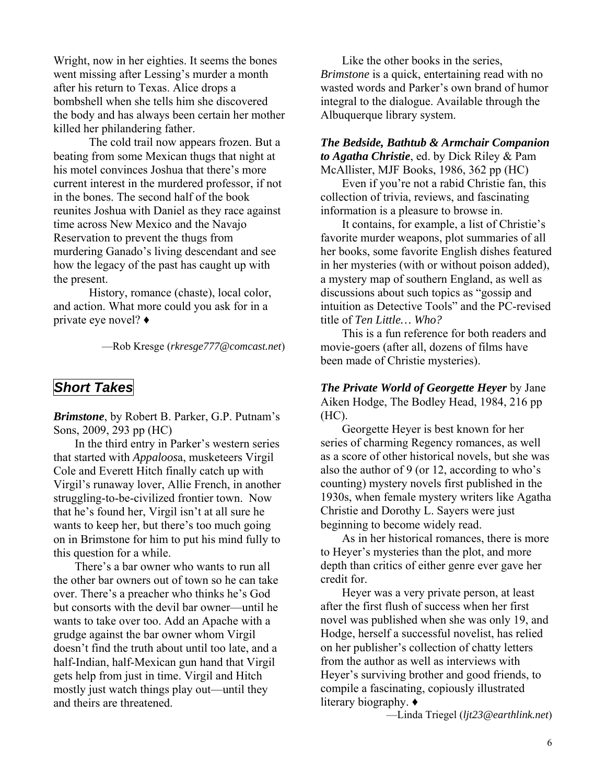Wright, now in her eighties. It seems the bones went missing after Lessing's murder a month after his return to Texas. Alice drops a bombshell when she tells him she discovered the body and has always been certain her mother killed her philandering father.

The cold trail now appears frozen. But a beating from some Mexican thugs that night at his motel convinces Joshua that there's more current interest in the murdered professor, if not in the bones. The second half of the book reunites Joshua with Daniel as they race against time across New Mexico and the Navajo Reservation to prevent the thugs from murdering Ganado's living descendant and see how the legacy of the past has caught up with the present.

History, romance (chaste), local color, and action. What more could you ask for in a private eye novel? **♦**

—Rob Kresge (*[rkresge777@comcast.net](mailto:rkresge777@comcast.net)*)

### *Short Takes*

*Brimstone*, by Robert B. Parker, G.P. Putnam's Sons, 2009, 293 pp (HC)

 In the third entry in Parker's western series that started with *Appaloos*a, musketeers Virgil Cole and Everett Hitch finally catch up with Virgil's runaway lover, Allie French, in another struggling-to-be-civilized frontier town. Now that he's found her, Virgil isn't at all sure he wants to keep her, but there's too much going on in Brimstone for him to put his mind fully to this question for a while.

 There's a bar owner who wants to run all the other bar owners out of town so he can take over. There's a preacher who thinks he's God but consorts with the devil bar owner—until he wants to take over too. Add an Apache with a grudge against the bar owner whom Virgil doesn't find the truth about until too late, and a half-Indian, half-Mexican gun hand that Virgil gets help from just in time. Virgil and Hitch mostly just watch things play out—until they and theirs are threatened.

 Like the other books in the series, *Brimstone* is a quick, entertaining read with no wasted words and Parker's own brand of humor integral to the dialogue. Available through the Albuquerque library system.

*The Bedside, Bathtub & Armchair Companion to Agatha Christie*, ed. by Dick Riley & Pam McAllister, MJF Books, 1986, 362 pp (HC)

 Even if you're not a rabid Christie fan, this collection of trivia, reviews, and fascinating information is a pleasure to browse in.

 It contains, for example, a list of Christie's favorite murder weapons, plot summaries of all her books, some favorite English dishes featured in her mysteries (with or without poison added), a mystery map of southern England, as well as discussions about such topics as "gossip and intuition as Detective Tools" and the PC-revised title of *Ten Little… Who?*

 This is a fun reference for both readers and movie-goers (after all, dozens of films have been made of Christie mysteries).

*The Private World of Georgette Heyer* by Jane Aiken Hodge, The Bodley Head, 1984, 216 pp (HC).

 Georgette Heyer is best known for her series of charming Regency romances, as well as a score of other historical novels, but she was also the author of 9 (or 12, according to who's counting) mystery novels first published in the 1930s, when female mystery writers like Agatha Christie and Dorothy L. Sayers were just beginning to become widely read.

 As in her historical romances, there is more to Heyer's mysteries than the plot, and more depth than critics of either genre ever gave her credit for.

 Heyer was a very private person, at least after the first flush of success when her first novel was published when she was only 19, and Hodge, herself a successful novelist, has relied on her publisher's collection of chatty letters from the author as well as interviews with Heyer's surviving brother and good friends, to compile a fascinating, copiously illustrated literary biography. **♦**

—Linda Triegel (*[ljt23@earthlink.net](mailto:ljt23@earthlink.net)*)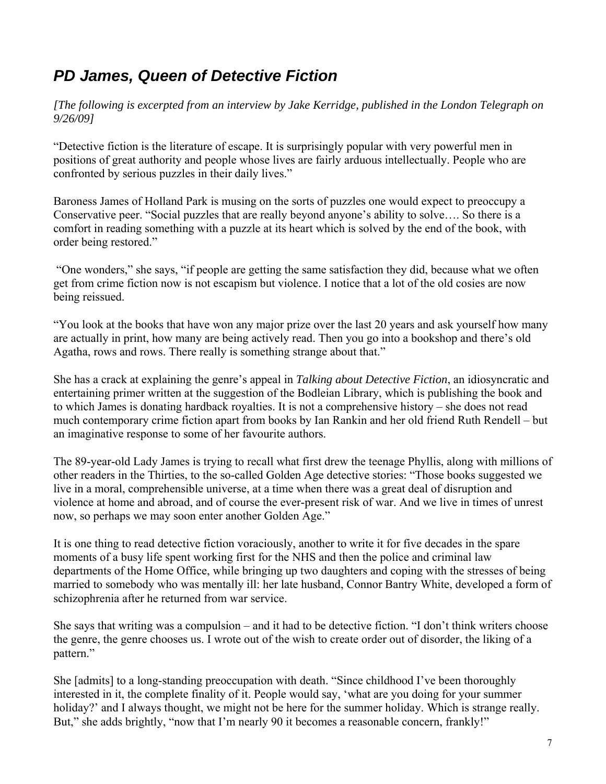# *PD James, Queen of Detective Fiction*

*[The following is excerpted from an interview by Jake Kerridge, published in the London Telegraph on 9/26/09]* 

"Detective fiction is the literature of escape. It is surprisingly popular with very powerful men in positions of great authority and people whose lives are fairly arduous intellectually. People who are confronted by serious puzzles in their daily lives."

Baroness James of Holland Park is musing on the sorts of puzzles one would expect to preoccupy a Conservative peer. "Social puzzles that are really beyond anyone's ability to solve…. So there is a comfort in reading something with a puzzle at its heart which is solved by the end of the book, with order being restored."

 "One wonders," she says, "if people are getting the same satisfaction they did, because what we often get from crime fiction now is not escapism but violence. I notice that a lot of the old cosies are now being reissued.

"You look at the books that have won any major prize over the last 20 years and ask yourself how many are actually in print, how many are being actively read. Then you go into a bookshop and there's old Agatha, rows and rows. There really is something strange about that."

She has a crack at explaining the genre's appeal in *Talking about Detective Fiction*, an idiosyncratic and entertaining primer written at the suggestion of the Bodleian Library, which is publishing the book and to which James is donating hardback royalties. It is not a comprehensive history – she does not read much contemporary crime fiction apart from books by Ian Rankin and her old friend Ruth Rendell – but an imaginative response to some of her favourite authors.

The 89-year-old Lady James is trying to recall what first drew the teenage Phyllis, along with millions of other readers in the Thirties, to the so-called Golden Age detective stories: "Those books suggested we live in a moral, comprehensible universe, at a time when there was a great deal of disruption and violence at home and abroad, and of course the ever-present risk of war. And we live in times of unrest now, so perhaps we may soon enter another Golden Age."

It is one thing to read detective fiction voraciously, another to write it for five decades in the spare moments of a busy life spent working first for the NHS and then the police and criminal law departments of the Home Office, while bringing up two daughters and coping with the stresses of being married to somebody who was mentally ill: her late husband, Connor Bantry White, developed a form of schizophrenia after he returned from war service.

She says that writing was a compulsion – and it had to be detective fiction. "I don't think writers choose the genre, the genre chooses us. I wrote out of the wish to create order out of disorder, the liking of a pattern."

She [admits] to a long-standing preoccupation with death. "Since childhood I've been thoroughly interested in it, the complete finality of it. People would say, 'what are you doing for your summer holiday?' and I always thought, we might not be here for the summer holiday. Which is strange really. But," she adds brightly, "now that I'm nearly 90 it becomes a reasonable concern, frankly!"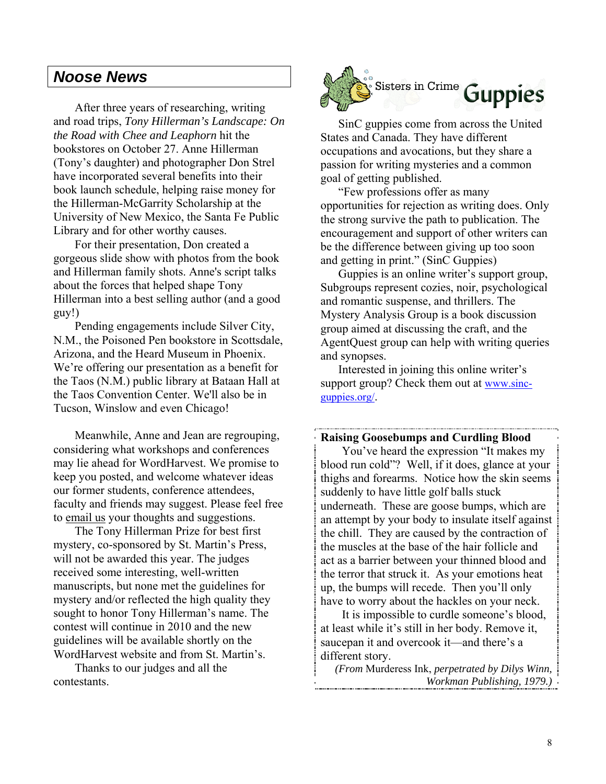## *Noose News*

 After three years of researching, writing and road trips, *Tony Hillerman's Landscape: On the Road with Chee and Leaphorn* hit the bookstores on October 27. Anne Hillerman (Tony's daughter) and photographer Don Strel have incorporated several benefits into their book launch schedule, helping raise money for the Hillerman-McGarrity Scholarship at the University of New Mexico, the Santa Fe Public Library and for other worthy causes.

 For their presentation, Don created a gorgeous slide show with photos from the book and Hillerman family shots. Anne's script talks about the forces that helped shape Tony Hillerman into a best selling author (and a good guy!)

 Pending engagements include Silver City, N.M., the Poisoned Pen bookstore in Scottsdale, Arizona, and the Heard Museum in Phoenix. We're offering our presentation as a benefit for the Taos (N.M.) public library at Bataan Hall at the Taos Convention Center. We'll also be in Tucson, Winslow and even Chicago!

 Meanwhile, Anne and Jean are regrouping, considering what workshops and conferences may lie ahead for WordHarvest. We promise to keep you posted, and welcome whatever ideas our former students, conference attendees, faculty and friends may suggest. Please feel free to [email us](mailto:wordharvest@wordharvest.com) your thoughts and suggestions.

 The Tony Hillerman Prize for best first mystery, co-sponsored by St. Martin's Press, will not be awarded this year. The judges received some interesting, well-written manuscripts, but none met the guidelines for mystery and/or reflected the high quality they sought to honor Tony Hillerman's name. The contest will continue in 2010 and the new guidelines will be available shortly on the WordHarvest website and from St. Martin's.

 Thanks to our judges and all the contestants.



SinC guppies come from across the United States and Canada. They have different occupations and avocations, but they share a passion for writing mysteries and a common goal of getting published.

"Few professions offer as many opportunities for rejection as writing does. Only the strong survive the path to publication. The encouragement and support of other writers can be the difference between giving up too soon and getting in print." (SinC Guppies)

Guppies is an online writer's support group, Subgroups represent cozies, noir, psychological and romantic suspense, and thrillers. The Mystery Analysis Group is a book discussion group aimed at discussing the craft, and the AgentQuest group can help with writing queries and synopses.

Interested in joining this online writer's support group? Check them out at [www.sinc](http://www.sinc-guppies.org/)[guppies.org/.](http://www.sinc-guppies.org/)

#### **Raising Goosebumps and Curdling Blood**

 You've heard the expression "It makes my blood run cold"? Well, if it does, glance at your thighs and forearms. Notice how the skin seems suddenly to have little golf balls stuck underneath. These are goose bumps, which are an attempt by your body to insulate itself against the chill. They are caused by the contraction of the muscles at the base of the hair follicle and act as a barrier between your thinned blood and the terror that struck it. As your emotions heat up, the bumps will recede. Then you'll only have to worry about the hackles on your neck.

 It is impossible to curdle someone's blood, at least while it's still in her body. Remove it, saucepan it and overcook it—and there's a different story.

*(From* Murderess Ink, *perpetrated by Dilys Winn, Workman Publishing, 1979.)*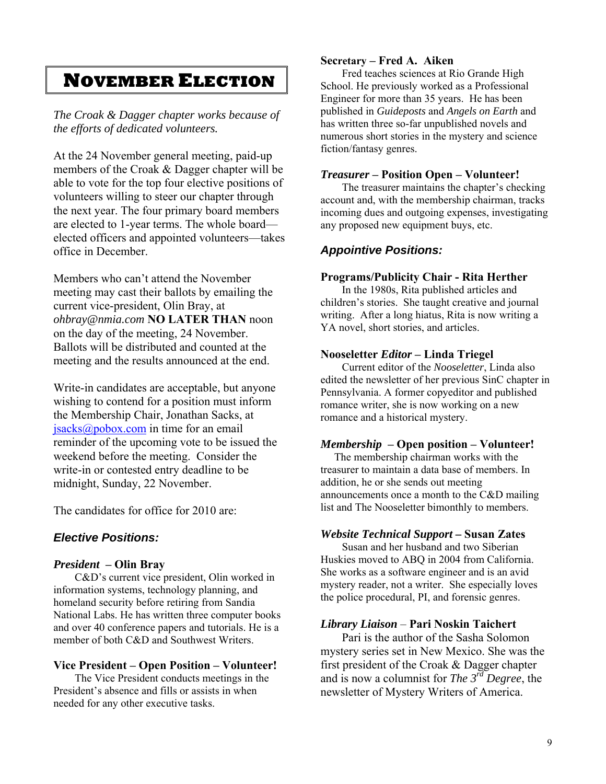# **NOVEMBER ELECTION**

*The Croak & Dagger chapter works because of the efforts of dedicated volunteers.* 

At the 24 November general meeting, paid-up members of the Croak & Dagger chapter will be able to vote for the top four elective positions of volunteers willing to steer our chapter through the next year. The four primary board members are elected to 1-year terms. The whole board elected officers and appointed volunteers—takes office in December.

Members who can't attend the November meeting may cast their ballots by emailing the current vice-president, Olin Bray, at *[ohbray@nmia.com](mailto:ohbray@nmia.com)* **NO LATER THAN** noon on the day of the meeting, 24 November. Ballots will be distributed and counted at the meeting and the results announced at the end.

Write-in candidates are acceptable, but anyone wishing to contend for a position must inform the Membership Chair, Jonathan Sacks, at  $isacks@pobox.com$  in time for an email reminder of the upcoming vote to be issued the weekend before the meeting. Consider the write-in or contested entry deadline to be midnight, Sunday, 22 November.

The candidates for office for 2010 are:

#### *Elective Positions:*

#### *President* **– Olin Bray**

C&D's current vice president, Olin worked in information systems, technology planning, and homeland security before retiring from Sandia National Labs. He has written three computer books and over 40 conference papers and tutorials. He is a member of both C&D and Southwest Writers.

#### **Vice President – Open Position – Volunteer!**

 The Vice President conducts meetings in the President's absence and fills or assists in when needed for any other executive tasks.

#### **Secretary – Fred A. Aiken**

Fred teaches sciences at Rio Grande High School. He previously worked as a Professional Engineer for more than 35 years. He has been published in *Guideposts* and *Angels on Earth* and has written three so-far unpublished novels and numerous short stories in the mystery and science fiction/fantasy genres.

#### *Treasurer* **– Position Open – Volunteer!**

 The treasurer maintains the chapter's checking account and, with the membership chairman, tracks incoming dues and outgoing expenses, investigating any proposed new equipment buys, etc.

#### *Appointive Positions:*

#### **Programs/Publicity Chair - Rita Herther**

In the 1980s, Rita published articles and children's stories. She taught creative and journal writing. After a long hiatus, Rita is now writing a YA novel, short stories, and articles.

#### **Nooseletter** *Editor* **– Linda Triegel**

 Current editor of the *Nooseletter*, Linda also edited the newsletter of her previous SinC chapter in Pennsylvania. A former copyeditor and published romance writer, she is now working on a new romance and a historical mystery.

#### *Membership* **– Open position – Volunteer!**

 The membership chairman works with the treasurer to maintain a data base of members. In addition, he or she sends out meeting announcements once a month to the C&D mailing list and The Nooseletter bimonthly to members.

#### *Website Technical Support –* **Susan Zates**

Susan and her husband and two Siberian Huskies moved to ABQ in 2004 from California. She works as a software engineer and is an avid mystery reader, not a writer. She especially loves the police procedural, PI, and forensic genres.

#### *Library Liaison* – **Pari Noskin Taichert**

 Pari is the author of the Sasha Solomon mystery series set in New Mexico. She was the first president of the Croak & Dagger chapter and is now a columnist for *The 3rd Degree*, the newsletter of Mystery Writers of America.